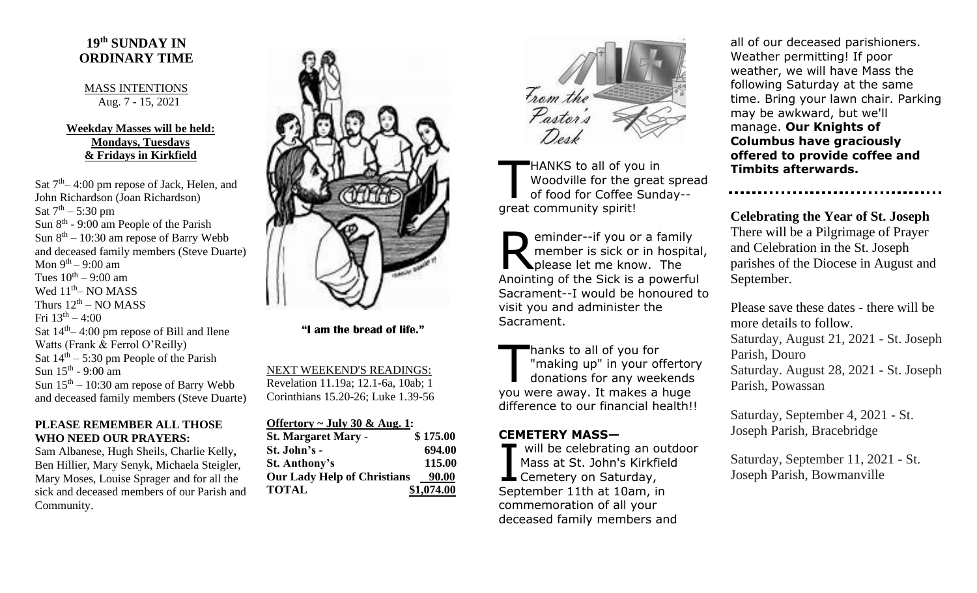# **19 th SUNDAY IN ORDINARY TIME**

### MASS INTENTIONS Aug. 7 - 15, 2021

## **Weekday Masses will be held: Mondays, Tuesdays & Fridays in Kirkfield**

Sat  $7<sup>th</sup> - 4:00$  pm repose of Jack, Helen, and John Richardson (Joan Richardson) Sat  $7^{th} - 5:30$  pm Sun  $8<sup>th</sup>$  - 9:00 am People of the Parish Sun  $8<sup>th</sup> - 10:30$  am repose of Barry Webb and deceased family members (Steve Duarte) Mon 9<sup>th</sup> – 9:00 am Tues  $10^{th} - 9:00$  am Wed  $11^{\text{th}}$ – NO MASS Thurs  $12^{\text{th}}$  – NO MASS Fri  $13^{\text{th}} - 4:00$ Sat  $14<sup>th</sup> - 4:00$  pm repose of Bill and Ilene Watts (Frank & Ferrol O'Reilly) Sat  $14<sup>th</sup> - 5:30$  pm People of the Parish Sun 15<sup>th</sup> - 9:00 am Sun  $15<sup>th</sup> - 10:30$  am repose of Barry Webb and deceased family members (Steve Duarte)

### **PLEASE REMEMBER ALL THOSE WHO NEED OUR PRAYERS:**

Sam Albanese, Hugh Sheils, Charlie Kelly**,**  Ben Hillier, Mary Senyk, Michaela Steigler, Mary Moses, Louise Sprager and for all the sick and deceased members of our Parish and Community.



 **"I am the bread of life."**

NEXT WEEKEND'S READINGS: Revelation 11.19a; 12.1-6a, 10ab; 1 Corinthians 15.20-26; Luke 1.39-56

| Offertory $\sim$ July 30 & Aug. 1: |            |
|------------------------------------|------------|
| <b>St. Margaret Mary -</b>         | \$175.00   |
| St. John's -                       | 694.00     |
| <b>St. Anthony's</b>               | 115.00     |
| <b>Our Lady Help of Christians</b> | 90.00      |
| <b>TOTAL</b>                       | \$1,074.00 |



HANKS to all of you in Woodville for the great spread of food for Coffee Sunday- great community spirit! T

eminder--if you or a family member is sick or in hospital, eminder--if you or a famil<br>
member is sick or in hosp<br>
please let me know. The Anointing of the Sick is a powerful Sacrament--I would be honoured to visit you and administer the Sacrament.

hanks to all of you for "making up" in your offertory donations for any weekends you were away. It makes a huge difference to our financial health!!  $\prod$ 

## **CEMETERY MASS—**

will be celebrating an outdoor Mass at St. John's Kirkfield Will be celebrating an o<br>Mass at St. John's Kirkfi<br>Cemetery on Saturday, September 11th at 10am, in commemoration of all your deceased family members and

all of our deceased parishioners. Weather permitting! If poor weather, we will have Mass the following Saturday at the same time. Bring your lawn chair. Parking may be awkward, but we'll manage. **Our Knights of Columbus have graciously offered to provide coffee and Timbits afterwards.**

**Celebrating the Year of St. Joseph** There will be a Pilgrimage of Prayer and Celebration in the St. Joseph parishes of the Diocese in August and September.

Please save these dates - there will be more details to follow. Saturday, August 21, 2021 - St. Joseph Parish, Douro Saturday. August 28, 2021 - St. Joseph Parish, Powassan

Saturday, September 4, 2021 - St. Joseph Parish, Bracebridge

Saturday, September 11, 2021 - St. Joseph Parish, Bowmanville